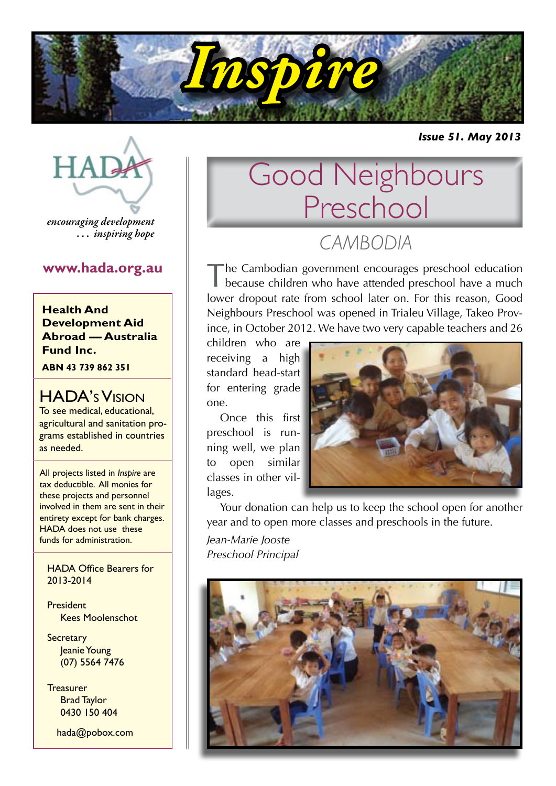

*Issue 51. May 2013*



*encouraging development . . . inspiring hope*

**Health And Development Aid Abroad — Australia Fund Inc.**

**ABN 43 739 862 351**

### HADA's Vision

To see medical, educational, agricultural and sanitation programs established in countries as needed.

All projects listed in *Inspire* are tax deductible. All monies for these projects and personnel involved in them are sent in their entirety except for bank charges. HADA does not use these funds for administration.

HADA Office Bearers for 2013-2014

**President** Kees Moolenschot

**Secretary** Jeanie Young (07) 5564 7476

**Treasurer** Brad Taylor 0430 150 404

hada@pobox.com

## Good Neighbours Preschool *CAMBODIA*

**www.hada.org.au** The Cambodian government encourages preschool education<br> **EXECUTE:** The Cambodian government encourages preschool have a much lower dropout rate from school later on. For this reason, Good Neighbours Preschool was opened in Trialeu Village, Takeo Province, in October 2012. We have two very capable teachers and 26

> children who are receiving a high standard head-start for entering grade one.

Once this first preschool is running well, we plan to open similar classes in other villages.



Your donation can help us to keep the school open for another year and to open more classes and preschools in the future.

*Jean-Marie Jooste Preschool Principal*

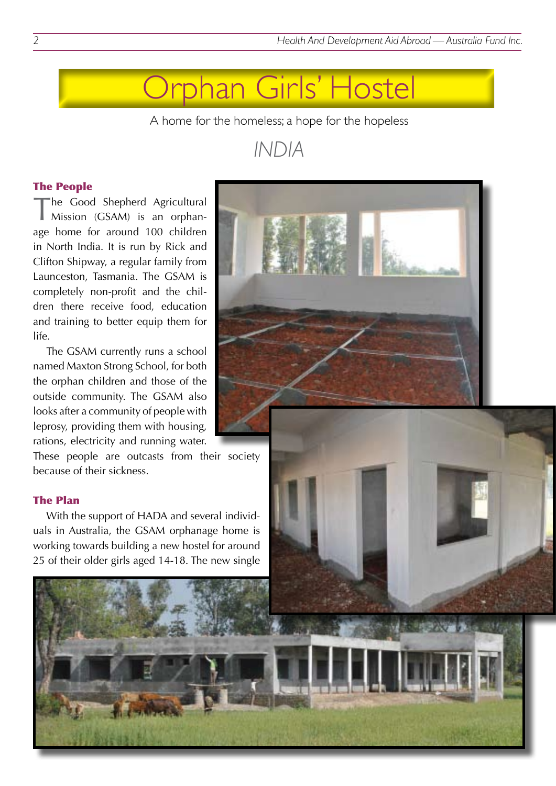### Orphan Girls' Hostel

A home for the homeless; a hope for the hopeless

### *INDIA*

#### The People

The Good Shepherd Agricultural Mission (GSAM) is an orphanage home for around 100 children in North India. It is run by Rick and Clifton Shipway, a regular family from Launceston, Tasmania. The GSAM is completely non-profit and the children there receive food, education and training to better equip them for life.

The GSAM currently runs a school named Maxton Strong School, for both the orphan children and those of the outside community. The GSAM also looks after a community of people with leprosy, providing them with housing, rations, electricity and running water.

These people are outcasts from their society because of their sickness.

#### The Plan

With the support of HADA and several individuals in Australia, the GSAM orphanage home is working towards building a new hostel for around 25 of their older girls aged 14-18. The new single

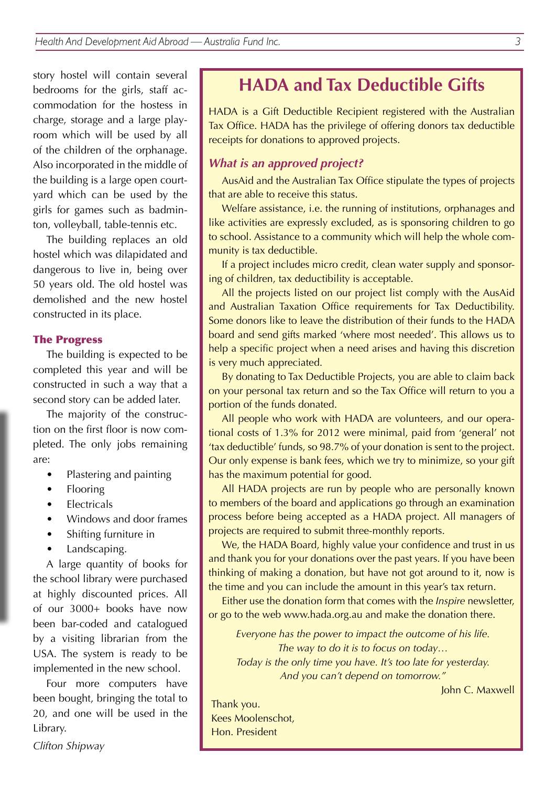story hostel will contain several bedrooms for the girls, staff accommodation for the hostess in charge, storage and a large playroom which will be used by all of the children of the orphanage. Also incorporated in the middle of the building is a large open courtyard which can be used by the girls for games such as badminton, volleyball, table-tennis etc.

The building replaces an old hostel which was dilapidated and dangerous to live in, being over 50 years old. The old hostel was demolished and the new hostel constructed in its place.

#### The Progress

The building is expected to be completed this year and will be constructed in such a way that a second story can be added later.

The majority of the construction on the first floor is now completed. The only jobs remaining are:

- Plastering and painting
- Flooring
- **Flectricals**
- Windows and door frames
- Shifting furniture in
- Landscaping.

A large quantity of books for the school library were purchased at highly discounted prices. All of our 3000+ books have now been bar-coded and catalogued by a visiting librarian from the USA. The system is ready to be implemented in the new school.

Four more computers have been bought, bringing the total to 20, and one will be used in the Library.

**HADA and Tax Deductible Gifts**

HADA is a Gift Deductible Recipient registered with the Australian Tax Office. HADA has the privilege of offering donors tax deductible receipts for donations to approved projects.

#### *What is an approved project?*

AusAid and the Australian Tax Office stipulate the types of projects that are able to receive this status.

Welfare assistance, i.e. the running of institutions, orphanages and like activities are expressly excluded, as is sponsoring children to go to school. Assistance to a community which will help the whole community is tax deductible.

If a project includes micro credit, clean water supply and sponsoring of children, tax deductibility is acceptable.

All the projects listed on our project list comply with the AusAid and Australian Taxation Office requirements for Tax Deductibility. Some donors like to leave the distribution of their funds to the HADA board and send gifts marked 'where most needed'. This allows us to help a specific project when a need arises and having this discretion is very much appreciated.

By donating to Tax Deductible Projects, you are able to claim back on your personal tax return and so the Tax Office will return to you a portion of the funds donated.

All people who work with HADA are volunteers, and our operational costs of 1.3% for 2012 were minimal, paid from 'general' not 'tax deductible' funds, so 98.7% of your donation is sent to the project. Our only expense is bank fees, which we try to minimize, so your gift has the maximum potential for good.

All HADA projects are run by people who are personally known to members of the board and applications go through an examination process before being accepted as a HADA project. All managers of projects are required to submit three-monthly reports.

We, the HADA Board, highly value your confidence and trust in us and thank you for your donations over the past years. If you have been thinking of making a donation, but have not got around to it, now is the time and you can include the amount in this year's tax return.

Either use the donation form that comes with the *Inspire* newsletter, or go to the web www.hada.org.au and make the donation there.

*Everyone has the power to impact the outcome of his life. The way to do it is to focus on today… Today is the only time you have. It's too late for yesterday. And you can't depend on tomorrow."*

John C. Maxwell

Thank you. Kees Moolenschot, Hon. President

*Clifton Shipway*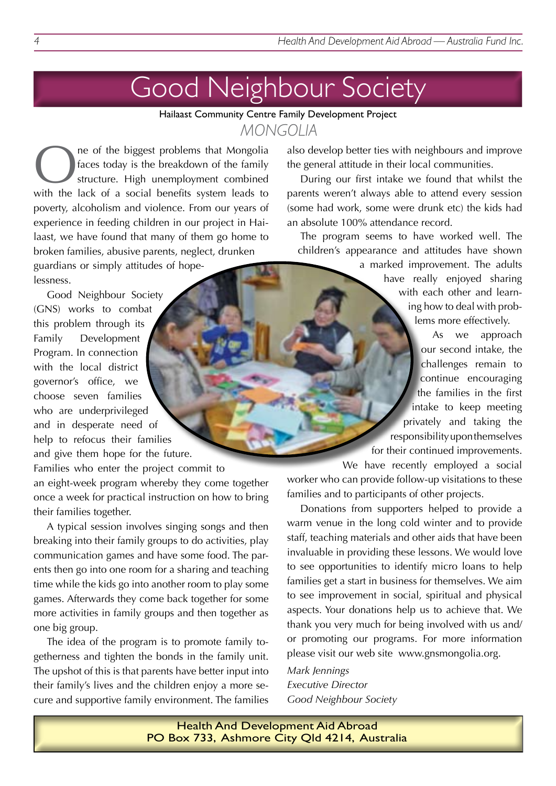# Good Neighbour Society

Hailaast Community Centre Family Development Project *MONGOLIA*

ne of the biggest problems that Mongolia faces today is the breakdown of the family structure. High unemployment combined with the lack of a social benefits system leads to poverty, alcoholism and violence. From our years of experience in feeding children in our project in Hailaast, we have found that many of them go home to broken families, abusive parents, neglect, drunken

guardians or simply attitudes of hopelessness.

Good Neighbour Society (GNS) works to combat this problem through its Family Development Program. In connection with the local district governor's office, we choose seven families who are underprivileged and in desperate need of help to refocus their families and give them hope for the future.

Families who enter the project commit to an eight-week program whereby they come together once a week for practical instruction on how to bring their families together.

A typical session involves singing songs and then breaking into their family groups to do activities, play communication games and have some food. The parents then go into one room for a sharing and teaching time while the kids go into another room to play some games. Afterwards they come back together for some more activities in family groups and then together as one big group.

The idea of the program is to promote family togetherness and tighten the bonds in the family unit. The upshot of this is that parents have better input into their family's lives and the children enjoy a more secure and supportive family environment. The families

also develop better ties with neighbours and improve the general attitude in their local communities.

During our first intake we found that whilst the parents weren't always able to attend every session (some had work, some were drunk etc) the kids had an absolute 100% attendance record.

The program seems to have worked well. The children's appearance and attitudes have shown

> a marked improvement. The adults have really enjoyed sharing with each other and learning how to deal with problems more effectively.

As we approach our second intake, the challenges remain to continue encouraging the families in the first intake to keep meeting privately and taking the responsibility upon themselves for their continued improvements.

We have recently employed a social worker who can provide follow-up visitations to these families and to participants of other projects.

Donations from supporters helped to provide a warm venue in the long cold winter and to provide staff, teaching materials and other aids that have been invaluable in providing these lessons. We would love to see opportunities to identify micro loans to help families get a start in business for themselves. We aim to see improvement in social, spiritual and physical aspects. Your donations help us to achieve that. We thank you very much for being involved with us and/ or promoting our programs. For more information please visit our web site www.gnsmongolia.org.

*Mark Jennings Executive Director Good Neighbour Society*

Health And Development Aid Abroad PO Box 733, Ashmore City Qld 4214, Australia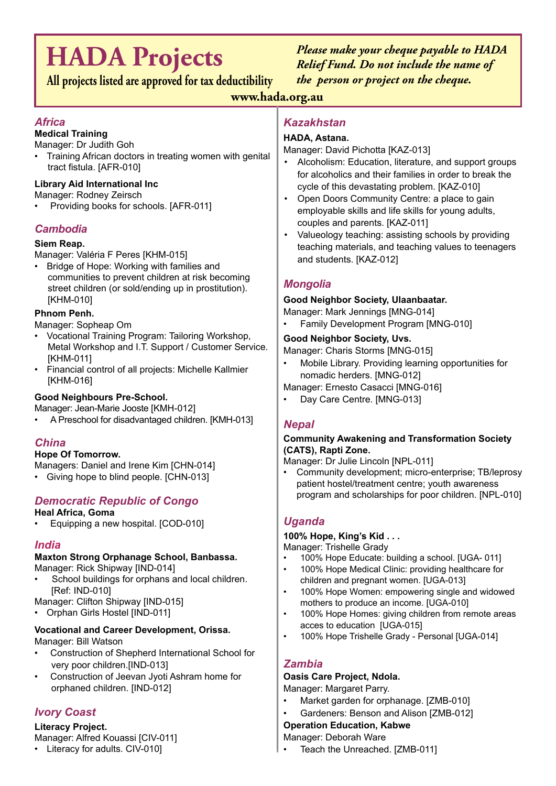# **HADA Projects**

**All projects listed are approved for tax deductibility**

*Please make your cheque payable to HADA Relief Fund. Do not include the name of the person or project on the cheque.*

#### **www.hada.org.au**

#### *Africa*

#### **Medical Training**

Manager: Dr Judith Goh

Training African doctors in treating women with genital tract fistula. [AFR-010]

#### **Library Aid International Inc**

Manager: Rodney Zeirsch

Providing books for schools. [AFR-011]

#### *Cambodia*

#### **Siem Reap.**

Manager: Valéria F Peres [KHM-015]

Bridge of Hope: Working with families and communities to prevent children at risk becoming street children (or sold/ending up in prostitution). [KHM-010]

#### **Phnom Penh.**

Manager: Sopheap Om

- • Vocational Training Program: Tailoring Workshop, Metal Workshop and I.T. Support / Customer Service. [KHM-011]
- • Financial control of all projects: Michelle Kallmier [KHM-016]

#### **Good Neighbours Pre-School.**

Manager: Jean-Marie Jooste [KMH-012]

A Preschool for disadvantaged children. [KMH-013]

#### *China*

#### **Hope Of Tomorrow.**

Managers: Daniel and Irene Kim [CHN-014]

• Giving hope to blind people. [CHN-013]

#### *Democratic Republic of Congo*

#### **Heal Africa, Goma**

Equipping a new hospital. [COD-010]

#### *India*

### **Maxton Strong Orphanage School, Banbassa.**

Manager: Rick Shipway [IND-014]

- School buildings for orphans and local children. [Ref: IND-010]
- Manager: Clifton Shipway [IND-015]
- Orphan Girls Hostel [IND-011]

#### **Vocational and Career Development, Orissa.**

Manager: Bill Watson

- Construction of Shepherd International School for very poor children.[IND-013]
- Construction of Jeevan Jyoti Ashram home for orphaned children. [IND-012]

#### *Ivory Coast*

#### **Literacy Project.**

Manager: Alfred Kouassi [CIV-011]

• Literacy for adults. CIV-010]

#### *Kazakhstan*

#### **HADA, Astana.**

Manager: David Pichotta [KAZ-013]

- Alcoholism: Education, literature, and support groups for alcoholics and their families in order to break the cycle of this devastating problem. [KAZ-010]
- Open Doors Community Centre: a place to gain employable skills and life skills for young adults, couples and parents. [KAZ-011]
- Valueology teaching: assisting schools by providing teaching materials, and teaching values to teenagers and students. [KAZ-012]

#### *Mongolia*

#### **Good Neighbor Society, Ulaanbaatar.**

Manager: Mark Jennings [MNG-014]

Family Development Program [MNG-010]

#### **Good Neighbor Society, Uvs.**

Manager: Charis Storms [MNG-015]

- • Mobile Library. Providing learning opportunities for nomadic herders. [MNG-012]
- Manager: Ernesto Casacci [MNG-016]
- Day Care Centre. [MNG-013]

#### *Nepal*

#### **Community Awakening and Transformation Society (CATS), Rapti Zone.**

Manager: Dr Julie Lincoln [NPL-011]

• Community development; micro-enterprise; TB/leprosy patient hostel/treatment centre; youth awareness program and scholarships for poor children. [NPL-010]

#### *Uganda*

#### **100% Hope, King's Kid . . .**

Manager: Trishelle Grady

- 100% Hope Educate: building a school. [UGA- 011]
- 100% Hope Medical Clinic: providing healthcare for children and pregnant women. [UGA-013]
- 100% Hope Women: empowering single and widowed mothers to produce an income. [UGA-010]
- • 100% Hope Homes: giving children from remote areas acces to education [UGA-015]
- 100% Hope Trishelle Grady Personal [UGA-014]

#### *Zambia*

#### **Oasis Care Project, Ndola.**

Manager: Margaret Parry.

- Market garden for orphanage. [ZMB-010]
- Gardeners: Benson and Alison [ZMB-012]

#### **Operation Education, Kabwe**

- Manager: Deborah Ware
- Teach the Unreached. [ZMB-011]